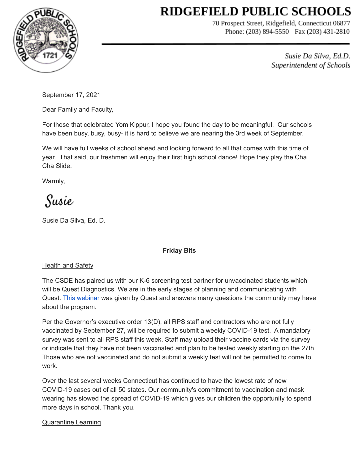# **RIDGEFIELD PUBLIC SCHOOLS**



70 Prospect Street, Ridgefield, Connecticut 06877 Phone: (203) 894-5550 Fax (203) 431-2810

> Susie Da Silva, Ed.D. Superintendent of Schools

September 17, 2021

Dear Family and Faculty,

For those that celebrated Yom Kippur, I hope you found the day to be meaningful. Our schools have been busy, busy, busy- it is hard to believe we are nearing the 3rd week of September.

We will have full weeks of school ahead and looking forward to all that comes with this time of year. That said, our freshmen will enjoy their first high school dance! Hope they play the Cha Cha Slide.

Warmly,

Susie

Susie Da Silva, Ed. D.

# **Friday Bits**

## **Health and Safety**

The CSDE has paired us with our K-6 screening test partner for unvaccinated students which will be Quest Diagnostics. We are in the early stages of planning and communicating with Quest. This [webinar](https://drive.google.com/file/d/1q__0_wBQTRL5R00EZSqUnBhUGh8bPIfM/view) was given by Quest and answers many questions the community may have about the program.

Per the Governor's executive order 13(D), all RPS staff and contractors who are not fully vaccinated by September 27, will be required to submit a weekly COVID-19 test. A mandatory survey was sent to all RPS staff this week. Staff may upload their vaccine cards via the survey or indicate that they have not been vaccinated and plan to be tested weekly starting on the 27th. Those who are not vaccinated and do not submit a weekly test will not be permitted to come to work.

Over the last several weeks Connecticut has continued to have the lowest rate of new COVID-19 cases out of all 50 states. Our community's commitment to vaccination and mask wearing has slowed the spread of COVID-19 which gives our children the opportunity to spend more days in school. Thank you.

## Quarantine Learning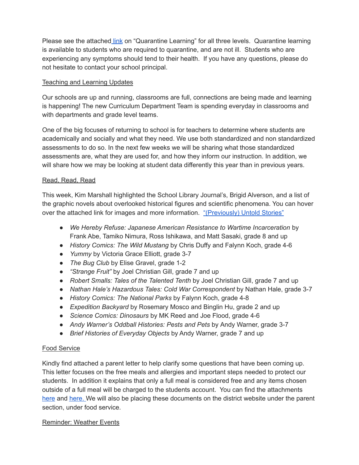Please see the attached [link](https://drive.google.com/file/d/1m_1IWxqL3WPdu2uGdOf8eRUhTY3Tj1kP/view?usp=sharing) on "Quarantine Learning" for all three levels. Quarantine learning is available to students who are required to quarantine, and are not ill. Students who are experiencing any symptoms should tend to their health. If you have any questions, please do not hesitate to contact your school principal.

## Teaching and Learning Updates

Our schools are up and running, classrooms are full, connections are being made and learning is happening! The new Curriculum Department Team is spending everyday in classrooms and with departments and grade level teams.

One of the big focuses of returning to school is for teachers to determine where students are academically and socially and what they need. We use both standardized and non standardized assessments to do so. In the next few weeks we will be sharing what those standardized assessments are, what they are used for, and how they inform our instruction. In addition, we will share how we may be looking at student data differently this year than in previous years.

## Read, Read, Read

This week, Kim Marshall highlighted the School Library Journal's, Brigid Alverson, and a list of the graphic novels about overlooked historical figures and scientific phenomena. You can hover over the attached link for images and more information. ["\(Previously\)](https://www.slj.com/?detailStory=nonfiction-graphic-novels-delve-into-microhistories-and-overlooked-historical-figures) Untold Stories"

- *We Hereby Refuse: Japanese American Resistance to Wartime Incarceration* by Frank Abe, Tamiko Nimura, Ross Ishikawa, and Matt Sasaki, grade 8 and up
- *History Comics: The Wild Mustang* by Chris Duffy and Falynn Koch, grade 4-6
- *Yummy* by Victoria Grace Elliott, grade 3-7
- *The Bug Club* by Elise Gravel, grade 1-2
- *"Strange Fruit"* by Joel Christian Gill, grade 7 and up
- *Robert Smalls: Tales of the Talented Tenth* by Joel Christian Gill, grade 7 and up
- *Nathan Hale's Hazardous Tales: Cold War Correspondent* by Nathan Hale, grade 3-7
- *History Comics: The National Parks* by Falynn Koch, grade 4-8
- *Expedition Backyard* by Rosemary Mosco and Binglin Hu, grade 2 and up
- *Science Comics: Dinosaurs* by MK Reed and Joe Flood, grade 4-6
- *Andy Warner's Oddball Histories: Pests and Pets* by Andy Warner, grade 3-7
- *Brief Histories of Everyday Objects* by Andy Warner, grade 7 and up

# Food Service

Kindly find attached a parent letter to help clarify some questions that have been coming up. This letter focuses on the free meals and allergies and important steps needed to protect our students. In addition it explains that only a full meal is considered free and any items chosen outside of a full meal will be charged to the students account. You can find the attachment[s](https://drive.google.com/file/d/17fFbG7PP3ljsVqHcU0NgVPmJPJgkUu2k/view?usp=sharing) [here](https://drive.google.com/file/d/17fFbG7PP3ljsVqHcU0NgVPmJPJgkUu2k/view?usp=sharing) and [here.](https://docs.google.com/presentation/d/1AUN5xsilQWg1DKd7mOG1Z-zIv5BWfDI0/edit?usp=sharing&ouid=104195104568994514858&rtpof=true&sd=true) We will also be placing these documents on the district website under the parent section, under food service.

## Reminder: Weather Events